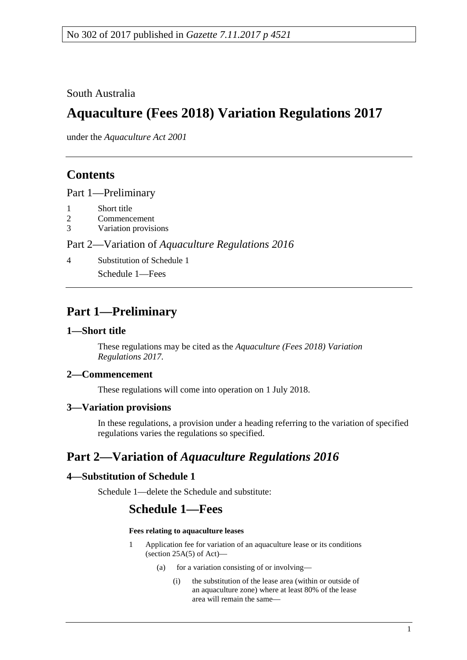### South Australia

# **Aquaculture (Fees 2018) Variation Regulations 2017**

under the *Aquaculture Act 2001*

# **Contents**

Part [1—Preliminary](#page-0-0)

- 1 [Short title](#page-0-1)<br>2 Commenc
- **[Commencement](#page-0-2)**
- 3 [Variation provisions](#page-0-3)

#### Part 2—Variation of *[Aquaculture Regulations](#page-0-4) 2016*

4 [Substitution of Schedule 1](#page-0-5) Schedule 1—Fees

### <span id="page-0-0"></span>**Part 1—Preliminary**

#### <span id="page-0-1"></span>**1—Short title**

These regulations may be cited as the *Aquaculture (Fees 2018) Variation Regulations 2017*.

#### <span id="page-0-2"></span>**2—Commencement**

These regulations will come into operation on 1 July 2018.

#### <span id="page-0-3"></span>**3—Variation provisions**

In these regulations, a provision under a heading referring to the variation of specified regulations varies the regulations so specified.

# <span id="page-0-4"></span>**Part 2—Variation of** *Aquaculture Regulations 2016*

#### <span id="page-0-5"></span>**4—Substitution of Schedule 1**

Schedule 1—delete the Schedule and substitute:

### **Schedule 1—Fees**

#### **Fees relating to aquaculture leases**

- 1 Application fee for variation of an aquaculture lease or its conditions (section  $25A(5)$  of Act)-
	- (a) for a variation consisting of or involving—
		- (i) the substitution of the lease area (within or outside of an aquaculture zone) where at least 80% of the lease area will remain the same—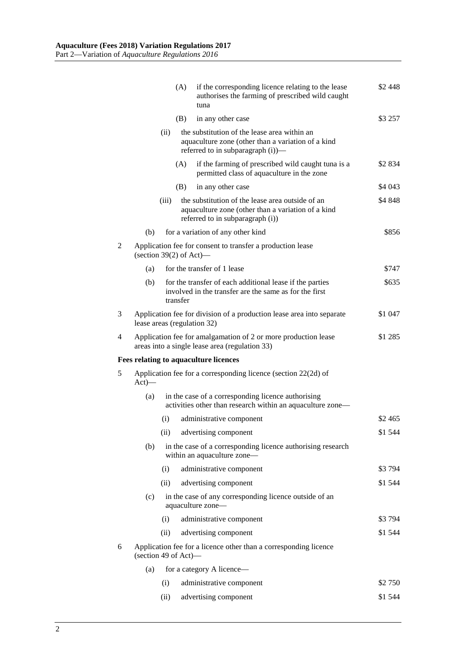|   |                                                                                          |                                                                                                                  | (A)                                                                                                                                     | if the corresponding licence relating to the lease<br>authorises the farming of prescribed wild caught<br>tuna                             | \$2 448  |  |
|---|------------------------------------------------------------------------------------------|------------------------------------------------------------------------------------------------------------------|-----------------------------------------------------------------------------------------------------------------------------------------|--------------------------------------------------------------------------------------------------------------------------------------------|----------|--|
|   |                                                                                          |                                                                                                                  | (B)                                                                                                                                     | in any other case                                                                                                                          | \$3 257  |  |
|   |                                                                                          | (ii)                                                                                                             | the substitution of the lease area within an<br>aquaculture zone (other than a variation of a kind<br>referred to in subparagraph (i))— |                                                                                                                                            |          |  |
|   |                                                                                          |                                                                                                                  | (A)                                                                                                                                     | if the farming of prescribed wild caught tuna is a<br>permitted class of aquaculture in the zone                                           | \$2 834  |  |
|   |                                                                                          |                                                                                                                  | (B)                                                                                                                                     | in any other case                                                                                                                          | \$4 043  |  |
|   |                                                                                          | (iii)                                                                                                            |                                                                                                                                         | the substitution of the lease area outside of an<br>aquaculture zone (other than a variation of a kind<br>referred to in subparagraph (i)) | \$4 848  |  |
|   | (b)                                                                                      |                                                                                                                  |                                                                                                                                         | for a variation of any other kind                                                                                                          | \$856    |  |
| 2 | Application fee for consent to transfer a production lease<br>(section 39(2) of Act)—    |                                                                                                                  |                                                                                                                                         |                                                                                                                                            |          |  |
|   | (a)                                                                                      |                                                                                                                  |                                                                                                                                         | for the transfer of 1 lease                                                                                                                | \$747    |  |
|   | (b)                                                                                      |                                                                                                                  | transfer                                                                                                                                | for the transfer of each additional lease if the parties<br>involved in the transfer are the same as for the first                         | \$635    |  |
| 3 |                                                                                          | Application fee for division of a production lease area into separate<br>\$1 047<br>lease areas (regulation 32)  |                                                                                                                                         |                                                                                                                                            |          |  |
| 4 |                                                                                          |                                                                                                                  |                                                                                                                                         | Application fee for amalgamation of 2 or more production lease<br>areas into a single lease area (regulation 33)                           | \$1 285  |  |
|   |                                                                                          |                                                                                                                  |                                                                                                                                         | <b>Fees relating to aquaculture licences</b>                                                                                               |          |  |
| 5 | Application fee for a corresponding licence (section 22(2d) of<br>$Act)$ —               |                                                                                                                  |                                                                                                                                         |                                                                                                                                            |          |  |
|   | (a)                                                                                      | in the case of a corresponding licence authorising<br>activities other than research within an aquaculture zone- |                                                                                                                                         |                                                                                                                                            |          |  |
|   |                                                                                          | (i)                                                                                                              |                                                                                                                                         | administrative component                                                                                                                   | \$2 4 65 |  |
|   |                                                                                          |                                                                                                                  |                                                                                                                                         | (ii) advertising component                                                                                                                 | \$1 544  |  |
|   | (b)                                                                                      |                                                                                                                  |                                                                                                                                         | in the case of a corresponding licence authorising research<br>within an aquaculture zone-                                                 |          |  |
|   |                                                                                          | (i)                                                                                                              |                                                                                                                                         | administrative component                                                                                                                   | \$3794   |  |
|   |                                                                                          | (ii)                                                                                                             |                                                                                                                                         | advertising component                                                                                                                      | \$1 544  |  |
|   | (c)                                                                                      | in the case of any corresponding licence outside of an<br>aquaculture zone-                                      |                                                                                                                                         |                                                                                                                                            |          |  |
|   |                                                                                          | (i)                                                                                                              |                                                                                                                                         | administrative component                                                                                                                   | \$3794   |  |
|   |                                                                                          | (ii)                                                                                                             |                                                                                                                                         | advertising component                                                                                                                      | \$1 544  |  |
| 6 | Application fee for a licence other than a corresponding licence<br>(section 49 of Act)— |                                                                                                                  |                                                                                                                                         |                                                                                                                                            |          |  |
|   | (a)                                                                                      |                                                                                                                  |                                                                                                                                         |                                                                                                                                            |          |  |
|   |                                                                                          | (i)                                                                                                              |                                                                                                                                         | administrative component                                                                                                                   | \$2 750  |  |
|   |                                                                                          | (ii)                                                                                                             |                                                                                                                                         | advertising component                                                                                                                      | \$1 544  |  |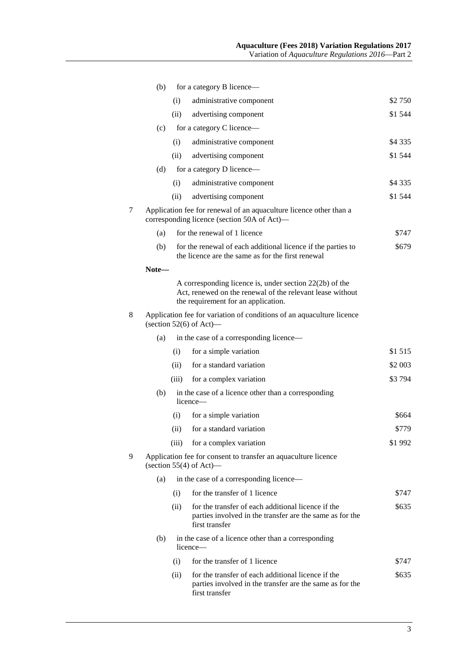|   | (b)                                                                                                               |                              | for a category B licence-                                                                                                                                     |           |  |  |  |
|---|-------------------------------------------------------------------------------------------------------------------|------------------------------|---------------------------------------------------------------------------------------------------------------------------------------------------------------|-----------|--|--|--|
|   |                                                                                                                   | (i)                          | administrative component                                                                                                                                      | \$2 750   |  |  |  |
|   |                                                                                                                   | (ii)                         | advertising component                                                                                                                                         | \$1 544   |  |  |  |
|   | (c)                                                                                                               |                              | for a category C licence—                                                                                                                                     |           |  |  |  |
|   |                                                                                                                   | (i)                          | administrative component                                                                                                                                      | \$4 3 3 5 |  |  |  |
|   |                                                                                                                   | (ii)                         | advertising component                                                                                                                                         | \$1 544   |  |  |  |
|   | (d)                                                                                                               |                              | for a category D licence—                                                                                                                                     |           |  |  |  |
|   |                                                                                                                   | (i)                          | administrative component                                                                                                                                      | \$4 3 3 5 |  |  |  |
|   |                                                                                                                   | (ii)                         | advertising component                                                                                                                                         | \$1 544   |  |  |  |
| 7 | Application fee for renewal of an aquaculture licence other than a<br>corresponding licence (section 50A of Act)— |                              |                                                                                                                                                               |           |  |  |  |
|   | (a)                                                                                                               | for the renewal of 1 licence |                                                                                                                                                               |           |  |  |  |
|   | (b)                                                                                                               |                              | for the renewal of each additional licence if the parties to<br>the licence are the same as for the first renewal                                             | \$679     |  |  |  |
|   | Note-                                                                                                             |                              |                                                                                                                                                               |           |  |  |  |
|   |                                                                                                                   |                              | A corresponding licence is, under section $22(2b)$ of the<br>Act, renewed on the renewal of the relevant lease without<br>the requirement for an application. |           |  |  |  |
| 8 | Application fee for variation of conditions of an aquaculture licence<br>(section $52(6)$ of Act)—                |                              |                                                                                                                                                               |           |  |  |  |
|   | (a)                                                                                                               |                              | in the case of a corresponding licence-                                                                                                                       |           |  |  |  |
|   |                                                                                                                   | (i)                          | for a simple variation                                                                                                                                        | \$1 515   |  |  |  |
|   |                                                                                                                   | (ii)                         | for a standard variation                                                                                                                                      | \$2 003   |  |  |  |
|   |                                                                                                                   | (iii)                        | for a complex variation                                                                                                                                       | \$3794    |  |  |  |
|   | (b)                                                                                                               |                              | in the case of a licence other than a corresponding<br>licence—                                                                                               |           |  |  |  |
|   |                                                                                                                   | (i)                          | for a simple variation                                                                                                                                        | \$664     |  |  |  |
|   |                                                                                                                   | (ii)                         | for a standard variation                                                                                                                                      | \$779     |  |  |  |
|   |                                                                                                                   | (iii)                        | for a complex variation                                                                                                                                       | \$1992    |  |  |  |
| 9 | Application fee for consent to transfer an aquaculture licence<br>(section $55(4)$ of Act)—                       |                              |                                                                                                                                                               |           |  |  |  |
|   | (a)                                                                                                               |                              | in the case of a corresponding licence—                                                                                                                       |           |  |  |  |
|   |                                                                                                                   | (i)                          | for the transfer of 1 licence                                                                                                                                 | \$747     |  |  |  |
|   |                                                                                                                   | (ii)                         | for the transfer of each additional licence if the<br>parties involved in the transfer are the same as for the<br>first transfer                              | \$635     |  |  |  |
|   | (b)                                                                                                               |                              | in the case of a licence other than a corresponding<br>licence—                                                                                               |           |  |  |  |
|   |                                                                                                                   | (i)                          | for the transfer of 1 licence                                                                                                                                 | \$747     |  |  |  |
|   |                                                                                                                   | (ii)                         | for the transfer of each additional licence if the<br>parties involved in the transfer are the same as for the<br>first transfer                              | \$635     |  |  |  |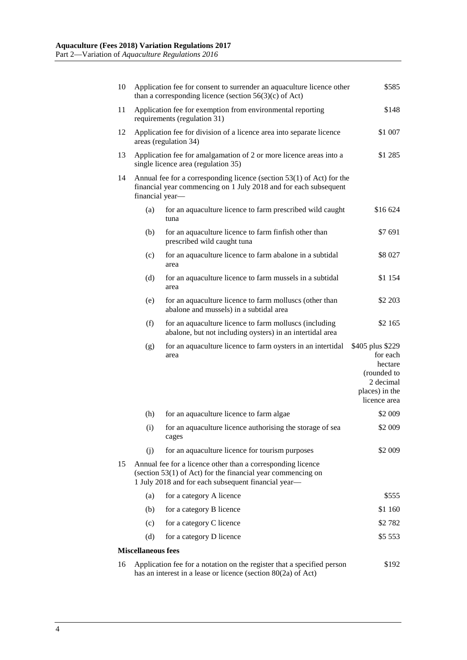| 10 | Application fee for consent to surrender an aquaculture licence other<br>\$585<br>than a corresponding licence (section $56(3)(c)$ of Act)                                          |                                                                                                                     |                                                                                                       |  |  |  |  |  |
|----|-------------------------------------------------------------------------------------------------------------------------------------------------------------------------------------|---------------------------------------------------------------------------------------------------------------------|-------------------------------------------------------------------------------------------------------|--|--|--|--|--|
| 11 | Application fee for exemption from environmental reporting<br>\$148<br>requirements (regulation 31)                                                                                 |                                                                                                                     |                                                                                                       |  |  |  |  |  |
| 12 | Application fee for division of a licence area into separate licence<br>areas (regulation 34)                                                                                       |                                                                                                                     |                                                                                                       |  |  |  |  |  |
| 13 | Application fee for amalgamation of 2 or more licence areas into a<br>single licence area (regulation 35)                                                                           |                                                                                                                     |                                                                                                       |  |  |  |  |  |
| 14 | Annual fee for a corresponding licence (section 53(1) of Act) for the<br>financial year commencing on 1 July 2018 and for each subsequent<br>financial year-                        |                                                                                                                     |                                                                                                       |  |  |  |  |  |
|    | (a)                                                                                                                                                                                 | for an aquaculture licence to farm prescribed wild caught<br>tuna                                                   | \$16 624                                                                                              |  |  |  |  |  |
|    | (b)                                                                                                                                                                                 | for an aquaculture licence to farm finfish other than<br>prescribed wild caught tuna                                | \$7 691                                                                                               |  |  |  |  |  |
|    | (c)                                                                                                                                                                                 | for an aquaculture licence to farm abalone in a subtidal<br>area                                                    | \$8 027                                                                                               |  |  |  |  |  |
|    | (d)                                                                                                                                                                                 | for an aquaculture licence to farm mussels in a subtidal<br>area                                                    | \$1 154                                                                                               |  |  |  |  |  |
|    | (e)                                                                                                                                                                                 | for an aquaculture licence to farm molluscs (other than<br>abalone and mussels) in a subtidal area                  | \$2 203                                                                                               |  |  |  |  |  |
|    | (f)                                                                                                                                                                                 | for an aquaculture licence to farm molluscs (including<br>abalone, but not including oysters) in an intertidal area | \$2 165                                                                                               |  |  |  |  |  |
|    | (g)                                                                                                                                                                                 | for an aquaculture licence to farm oysters in an intertidal<br>area                                                 | \$405 plus \$229<br>for each<br>hectare<br>(rounded to<br>2 decimal<br>places) in the<br>licence area |  |  |  |  |  |
|    | (h)                                                                                                                                                                                 | for an aquaculture licence to farm algae                                                                            | \$2 009                                                                                               |  |  |  |  |  |
|    | (i)                                                                                                                                                                                 | for an aquaculture licence authorising the storage of sea<br>cages                                                  | \$2 009                                                                                               |  |  |  |  |  |
|    | (j)                                                                                                                                                                                 | for an aquaculture licence for tourism purposes                                                                     | \$2 009                                                                                               |  |  |  |  |  |
| 15 | Annual fee for a licence other than a corresponding licence<br>(section $53(1)$ of Act) for the financial year commencing on<br>1 July 2018 and for each subsequent financial year- |                                                                                                                     |                                                                                                       |  |  |  |  |  |
|    | (a)                                                                                                                                                                                 | for a category A licence                                                                                            | \$555                                                                                                 |  |  |  |  |  |
|    | (b)                                                                                                                                                                                 | for a category B licence                                                                                            | \$1 160                                                                                               |  |  |  |  |  |
|    | (c)                                                                                                                                                                                 | for a category C licence                                                                                            | \$2 782                                                                                               |  |  |  |  |  |
|    | (d)                                                                                                                                                                                 | for a category D licence                                                                                            | \$5 553                                                                                               |  |  |  |  |  |
|    | <b>Miscellaneous fees</b>                                                                                                                                                           |                                                                                                                     |                                                                                                       |  |  |  |  |  |
| 16 | Application fee for a notation on the register that a specified person<br>\$192<br>has an interest in a lease or licence (section $80(2a)$ of Act)                                  |                                                                                                                     |                                                                                                       |  |  |  |  |  |